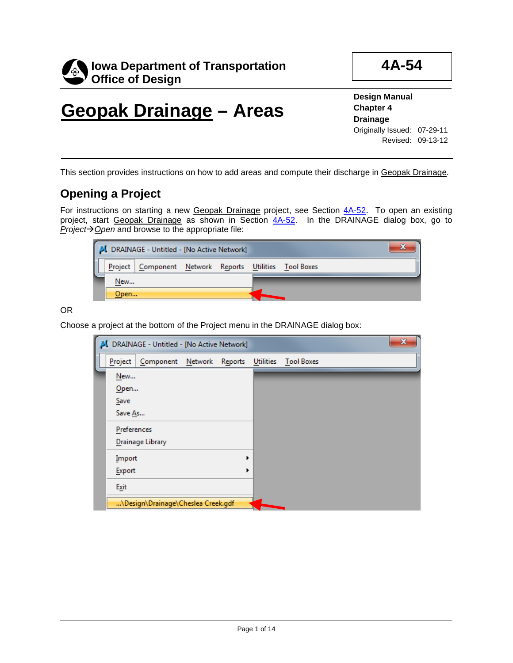

**4A-54**

# **Geopak Drainage – Areas**

**Design Manual Chapter 4 Drainage** Originally Issued: 07-29-11 Revised: 09-13-12

This section provides instructions on how to add areas and compute their discharge in Geopak Drainage.

### **Opening a Project**

For instructions on starting a new Geopak Drainage project, see Section 4A-52. To open an existing project, start Geopak Drainage as shown in Section 4A-52. In the DRAINAGE dialog box, go to *Project* $\rightarrow$  *Open* and browse to the appropriate file:

| J DRAINAGE - Untitled - [No Active Network] |      |                                                          |  |  |  |  |
|---------------------------------------------|------|----------------------------------------------------------|--|--|--|--|
|                                             |      | Project   Component Network Reports Utilities Tool Boxes |  |  |  |  |
|                                             | New  |                                                          |  |  |  |  |
|                                             | Open |                                                          |  |  |  |  |

OR

Choose a project at the bottom of the Project menu in the DRAINAGE dialog box:

|             | DRAINAGE - Untitled - [No Active Network] |  |           |                   |  | x |
|-------------|-------------------------------------------|--|-----------|-------------------|--|---|
| Project     | Component Network Reports                 |  | Utilities | <b>Tool Boxes</b> |  |   |
| New         |                                           |  |           |                   |  |   |
| $O$ pen     |                                           |  |           |                   |  |   |
| Save        |                                           |  |           |                   |  |   |
| Save As     |                                           |  |           |                   |  |   |
| Preferences |                                           |  |           |                   |  |   |
|             | Drainage Library                          |  |           |                   |  |   |
| Import      |                                           |  |           |                   |  |   |
| Export      |                                           |  |           |                   |  |   |
| Exit        |                                           |  |           |                   |  |   |
|             | \Design\Drainage\Cheslea Creek.gdf        |  |           |                   |  |   |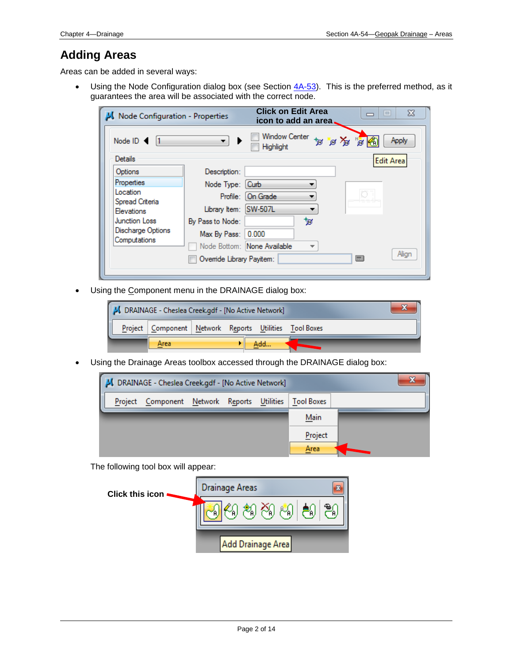### **Adding Areas**

Areas can be added in several ways:

• Using the Node Configuration dialog box (see Section  $4A-53$ ). This is the preferred method, as it guarantees the area will be associated with the correct node.

| Node Configuration - Properties |                          | <b>Click on Edit Area</b><br>$\Sigma$<br>E<br>icon to add an area. |
|---------------------------------|--------------------------|--------------------------------------------------------------------|
| Node ID: <                      | ▼                        | Window Center<br>oY of of<br>窗角<br>Apply<br><b>Highlight</b>       |
| Details                         |                          | Edit Area                                                          |
| Options                         | Description:             |                                                                    |
| Properties                      | Node Type: [Curb         |                                                                    |
| Location<br>Spread Criteria     |                          | Profile: On Grade                                                  |
| <b>Elevations</b>               | Library Item: SW-507L    |                                                                    |
| <b>Junction Loss</b>            | By Pass to Node:         | ₩                                                                  |
| Discharge Options               | Max By Pass:             | 0.000                                                              |
| Computations                    |                          | Node Bottom: None Available<br>$\overline{\phantom{a}}$            |
|                                 | Ovemide Library Payitem: | Align<br>□                                                         |
|                                 |                          |                                                                    |

• Using the Component menu in the DRAINAGE dialog box:



• Using the Drainage Areas toolbox accessed through the DRAINAGE dialog box:



The following tool box will appear:

| <b>Click this icon</b> | Drainage Areas<br>e. |
|------------------------|----------------------|
|                        | නි<br>喝<br>Ϋ́Α       |
|                        | Add Drainage Area    |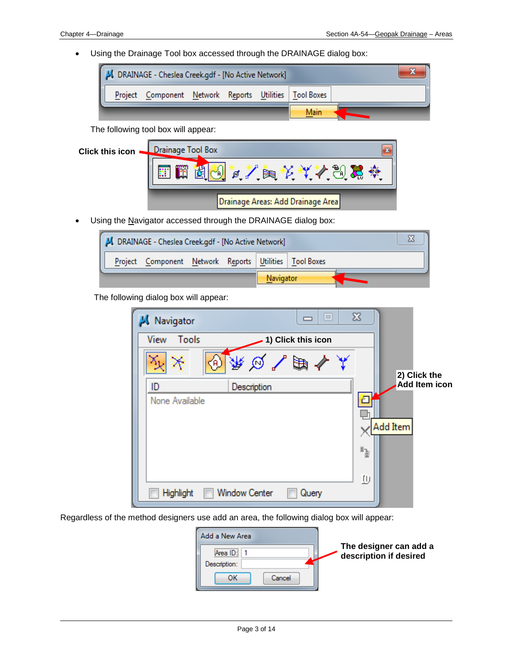• Using the Drainage Tool box accessed through the DRAINAGE dialog box:



The following tool box will appear:

| <b>Click this icon</b> | <b>Drainage Tool Box</b><br>m<br>23  |
|------------------------|--------------------------------------|
|                        | $\mathbb{Z} \cong$<br>雙<br>不应不下<br>₫ |
|                        | Drainage Areas: Add Drainage Area    |

• Using the Navigator accessed through the DRAINAGE dialog box:

| DRAINAGE - Cheslea Creek.gdf - [No Active Network] |         |                                                  |  |           |  |  |  |  |
|----------------------------------------------------|---------|--------------------------------------------------|--|-----------|--|--|--|--|
|                                                    | Project | Component Network Reports Utilities   Tool Boxes |  |           |  |  |  |  |
|                                                    |         |                                                  |  | Navigator |  |  |  |  |

The following dialog box will appear:

| Navigator      |                      | $\Box$<br>$\Box$   | $\Sigma$ |                      |
|----------------|----------------------|--------------------|----------|----------------------|
| Tools<br>View  |                      | 1) Click this icon |          |                      |
| A)             |                      | 乘向了脚个人             |          | 2) Click the         |
| ID             | Description          |                    |          | <b>Add Item icon</b> |
| None Available |                      |                    | Æ        |                      |
|                |                      |                    |          | Add Item             |
|                |                      |                    | 13       |                      |
|                |                      |                    | ŢU.      |                      |
| Highlight      | <b>Window Center</b> | Query              |          |                      |

Regardless of the method designers use add an area, the following dialog box will appear:

| Add a New Area       |                                                  |
|----------------------|--------------------------------------------------|
| Area<br>Description: | The designer can add a<br>description if desired |
| ок<br>Cancel         |                                                  |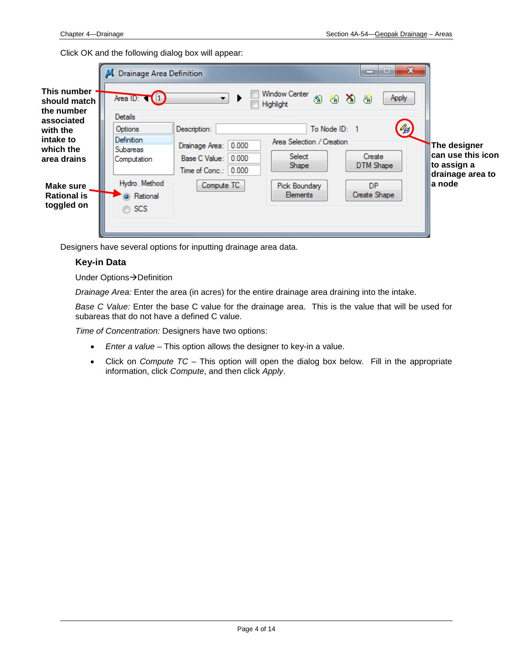Click OK and the following dialog box will appear:



Designers have several options for inputting drainage area data.

#### **Key-in Data**

Under Options $\rightarrow$ Definition

*Drainage Area:* Enter the area (in acres) for the entire drainage area draining into the intake.

*Base C Value:* Enter the base C value for the drainage area. This is the value that will be used for subareas that do not have a defined C value.

*Time of Concentration:* Designers have two options:

- *Enter a value* This option allows the designer to key-in a value.
- Click on *Compute TC* This option will open the dialog box below. Fill in the appropriate information, click *Compute*, and then click *Apply*.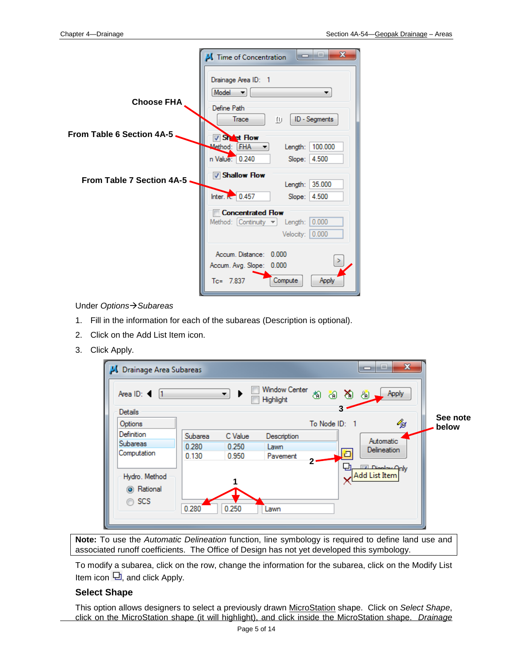|                                  | $\mathbf x$<br>$\equiv$<br>Time of Concentration<br>—                                                         |
|----------------------------------|---------------------------------------------------------------------------------------------------------------|
| <b>Choose FHA</b>                | Drainage Area ID: 1<br>Model<br>$\overline{\phantom{a}}$<br>▼<br>Define Path<br>ID - Segments<br>Trace<br>TU. |
| <b>From Table 6 Section 4A-5</b> | Sheet Flow                                                                                                    |
|                                  | 100.000<br>Method: FHA<br>Length:                                                                             |
|                                  | n Value: 0.240<br>4.500<br>Slope:                                                                             |
| <b>From Table 7 Section 4A-5</b> | <b>V</b> Shallow Flow<br>35.000<br>Length:                                                                    |
|                                  | Inter. <b>K.</b> 0.457<br>Slope:<br>4.500                                                                     |
|                                  | <b>■ Concentrated Flow</b>                                                                                    |
|                                  | Method: $[Continuity \rightarrow]$<br>0.000<br>Length:                                                        |
|                                  | Velocity: 0.000                                                                                               |
|                                  | Accum. Distance: 0.000                                                                                        |
|                                  | Accum. Avg. Slope: 0.000                                                                                      |
|                                  | $Tc = 7.837$<br>Compute<br><b>Apply</b>                                                                       |

Under *OptionsSubareas*

- 1. Fill in the information for each of the subareas (Description is optional).
- 2. Click on the Add List Item icon.
- 3. Click Apply.

| Area ID: <<br>Details       |         | ۰.      | <b>Window Center</b><br>Highlight | 逾<br>8 YO 8 YO<br>3 | Apply                                   |          |
|-----------------------------|---------|---------|-----------------------------------|---------------------|-----------------------------------------|----------|
| Options                     |         |         |                                   | To Node ID: 1       | ∕₫                                      | See note |
| Definition                  | Subarea | C Value | Description                       |                     |                                         | below    |
| <b>Subareas</b>             | 0.280   | 0.250   | Lawn                              |                     | Automatic                               |          |
| Computation                 | 0.130   | 0.950   | Pavement                          |                     | <b>Delineation</b>                      |          |
| Hydro. Method<br>i Rational |         |         |                                   |                     | <b>Digestrate Only</b><br>Add List Item |          |
| $\circ$ SCS                 |         | 0.250   |                                   |                     |                                         |          |

**Note:** To use the *Automatic Delineation* function, line symbology is required to define land use and associated runoff coefficients. The Office of Design has not yet developed this symbology.

To modify a subarea, click on the row, change the information for the subarea, click on the Modify List Item icon  $\Box$ , and click Apply.

#### **Select Shape**

This option allows designers to select a previously drawn MicroStation shape. Click on *Select Shape*, click on the MicroStation shape (it will highlight), and click inside the MicroStation shape. *Drainage*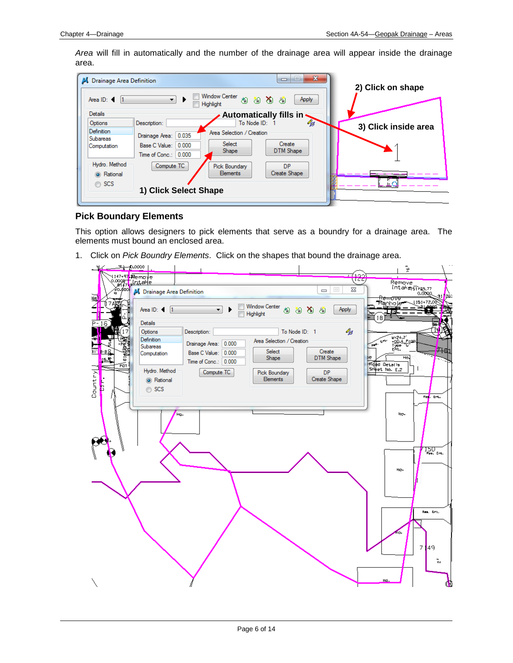*Area* will fill in automatically and the number of the drainage area will appear inside the drainage area.

| <b>Drainage Area Definition</b>      |                         |                                          | $\mathbf{x}$<br>$\Box$        | 2) Click on shape    |
|--------------------------------------|-------------------------|------------------------------------------|-------------------------------|----------------------|
| Area ID: 4                           | $\overline{\mathbf{r}}$ | <b>Window Center</b><br><b>Highlight</b> | おおおお<br>Apply                 |                      |
| Details                              |                         |                                          | Automatically fills in $\sim$ |                      |
| Options                              | Description:            | To Node ID:                              | $\mathscr{C}_{\mathbb{C}^f}$  | 3) Click inside area |
| <b>Definition</b><br><b>Subareas</b> | 0.035<br>Drainage Area: | Area Selection / Creation                |                               |                      |
| Computation                          | 0.000<br>Base C Value:  | Select                                   | Create                        |                      |
|                                      | Time of Conc.: 0.000    | Shape                                    | DTM Shape                     |                      |
| Hydro, Method                        | Compute TC              | Pick Boundary                            | <b>DP</b>                     |                      |
| <b>O</b> Rational                    |                         | <b>Elements</b>                          | Create Shape                  |                      |
| $\circ$ SCS                          |                         |                                          |                               |                      |
|                                      | 1) Click Select Shape   |                                          |                               |                      |
|                                      |                         |                                          |                               |                      |

#### **Pick Boundary Elements**

This option allows designers to pick elements that serve as a boundry for a drainage area. The elements must bound an enclosed area.

1. Click on *Pick Boundry Elements*. Click on the shapes that bound the drainage area.

| ≞ு——ற.>>>>              |                                                                                                                |                      |                                  | <u> 1100 </u>             | 16ª<br>166                                                  |
|-------------------------|----------------------------------------------------------------------------------------------------------------|----------------------|----------------------------------|---------------------------|-------------------------------------------------------------|
| 型】                      | N147497 <del>Nemove</del><br>C.000 <del>8   Crital e</del><br>Any <sup>100</sup>   M. Drainage Area Definition |                      |                                  | 23<br>$\Box$<br>$\equiv$  | Remove<br>ntaka 51×49,77<br>0.0000<br>91<br><u>-Reinove</u> |
|                         | Area ID: 4<br>l1                                                                                               | $\blacktriangledown$ | Window Center<br>තු<br>Highlight | 80 YB 80<br>Apply         | <b>Manhole</b><br>1151+72.00                                |
| $P - 16$                | Details                                                                                                        |                      |                                  |                           | 18                                                          |
|                         | Options                                                                                                        | Description:         | To Node ID: 1                    | H                         |                                                             |
| $=$ P $\frac{1}{2}$     | <b>Definition</b>                                                                                              | Drainage Area: 0.000 | Area Selection / Creation        |                           | W=24.2'<br>+00.4 Prop.<br>Type C"<br>$\mathbf{e}^{\mu\nu}$  |
| л<br>8<br>311<br>- 8    | <b>Subareas</b><br>Computation                                                                                 | Base C Value: 0.000  | Select                           | Create                    | a.<br>开助                                                    |
| e isi<br>$15.5^{\circ}$ |                                                                                                                | Time of Conc.: 0.000 | Shape                            | DTM Shape                 | Ho.<br>Þe                                                   |
| ৰ্কি<br> ≂              | Hydro. Method                                                                                                  |                      |                                  |                           | <b>Read Details</b><br>SHeet No. E.2<br>J.                  |
|                         |                                                                                                                | Compute TC           | Pick Boundary<br>Elements        | <b>DP</b><br>Create Shape |                                                             |
| $\text{Country}$<br>Ł   | (a) Rational                                                                                                   |                      |                                  |                           |                                                             |
| ΩL                      | ⊙ SCS                                                                                                          |                      |                                  |                           | Red. Ent.                                                   |
|                         |                                                                                                                |                      |                                  |                           |                                                             |
|                         | Ho.                                                                                                            |                      |                                  |                           | Ho.                                                         |
|                         |                                                                                                                |                      |                                  |                           |                                                             |
|                         |                                                                                                                |                      |                                  |                           |                                                             |
|                         |                                                                                                                |                      |                                  |                           |                                                             |
|                         |                                                                                                                |                      |                                  |                           |                                                             |
|                         |                                                                                                                |                      |                                  |                           | $150 -$                                                     |
|                         |                                                                                                                |                      |                                  |                           |                                                             |
|                         |                                                                                                                |                      |                                  |                           | Ho-                                                         |
|                         |                                                                                                                |                      |                                  |                           |                                                             |
|                         |                                                                                                                |                      |                                  |                           |                                                             |
|                         |                                                                                                                |                      |                                  |                           |                                                             |
|                         |                                                                                                                |                      |                                  |                           | Res. Ent.                                                   |
|                         |                                                                                                                |                      |                                  |                           |                                                             |
|                         |                                                                                                                |                      |                                  |                           |                                                             |
|                         |                                                                                                                |                      |                                  |                           |                                                             |
|                         |                                                                                                                |                      |                                  |                           |                                                             |
|                         |                                                                                                                |                      |                                  |                           | 7149                                                        |
|                         |                                                                                                                |                      |                                  |                           | ្ត                                                          |
|                         |                                                                                                                |                      |                                  |                           |                                                             |
|                         |                                                                                                                |                      |                                  |                           | Ha,                                                         |
|                         |                                                                                                                |                      |                                  |                           | Œ                                                           |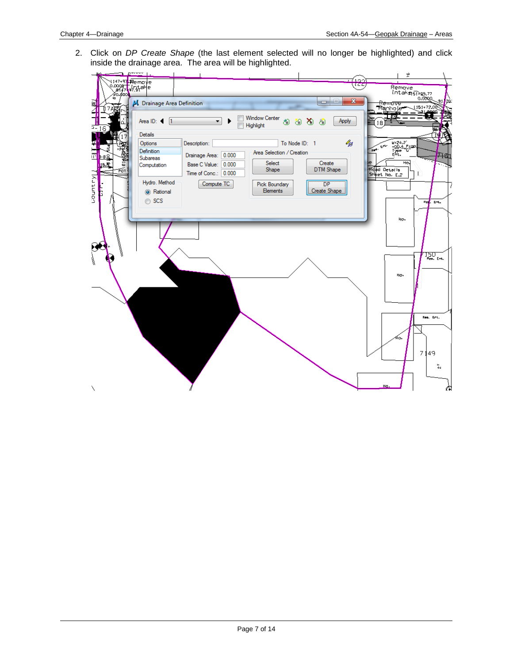2. Click on *DP Create Shape* (the last element selected will no longer be highlighted) and click inside the drainage area. The area will be highlighted.

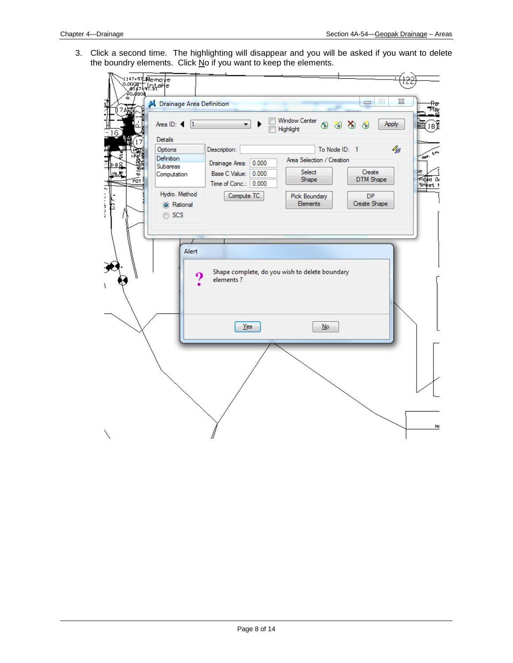3. Click a second time. The highlighting will disappear and you will be asked if you want to delete the boundry elements. Click No if you want to keep the elements.

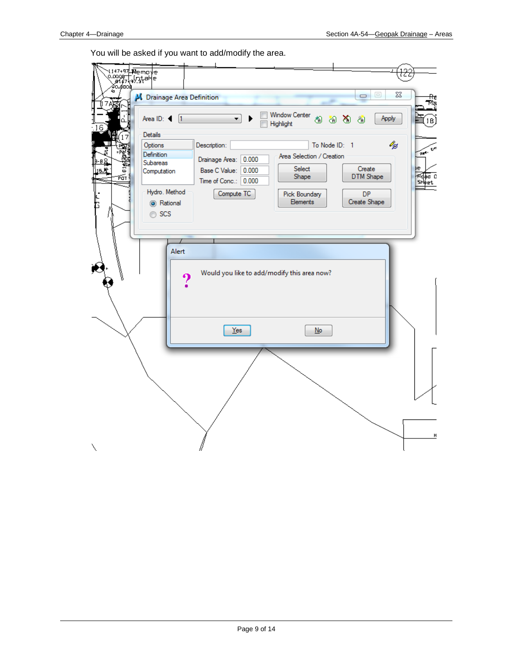You will be asked if you want to add/modify the area.

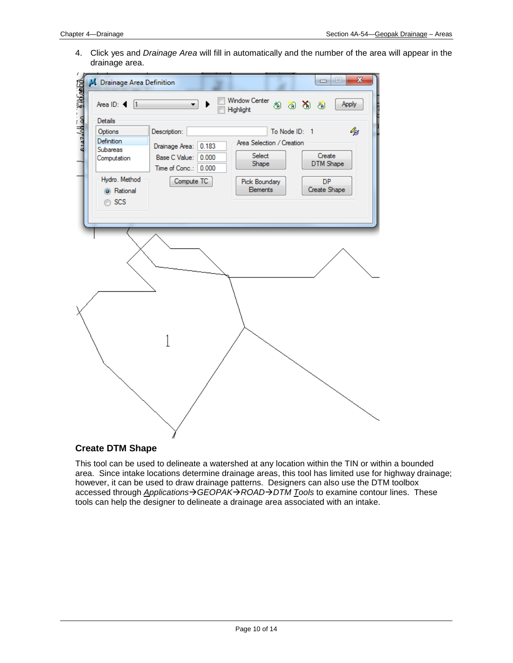4. Click yes and *Drainage Area* will fill in automatically and the number of the area will appear in the drainage area.



#### **Create DTM Shape**

This tool can be used to delineate a watershed at any location within the TIN or within a bounded area. Since intake locations determine drainage areas, this tool has limited use for highway drainage; however, it can be used to draw drainage patterns. Designers can also use the DTM toolbox accessed through *ApplicationsGEOPAKROADDTM Tools* to examine contour lines. These tools can help the designer to delineate a drainage area associated with an intake.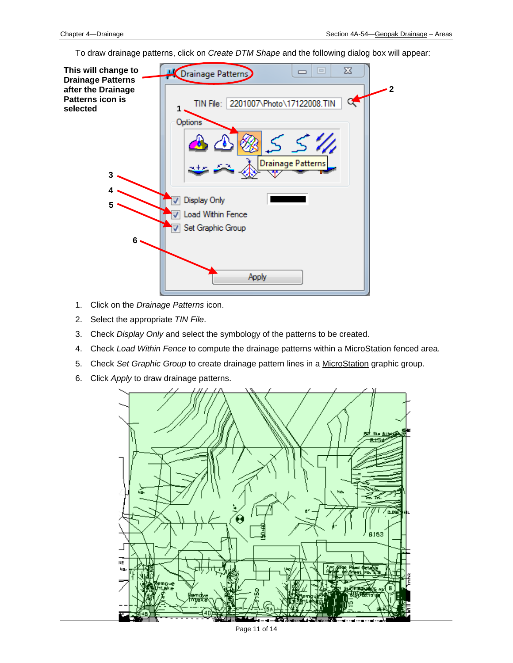To draw drainage patterns, click on *Create DTM Shape* and the following dialog box will appear:



- 1. Click on the *Drainage Patterns* icon.
- 2. Select the appropriate *TIN File*.
- 3. Check *Display Only* and select the symbology of the patterns to be created.
- 4. Check *Load Within Fence* to compute the drainage patterns within a MicroStation fenced area.
- 5. Check *Set Graphic Group* to create drainage pattern lines in a MicroStation graphic group.
- 6. Click *Apply* to draw drainage patterns.

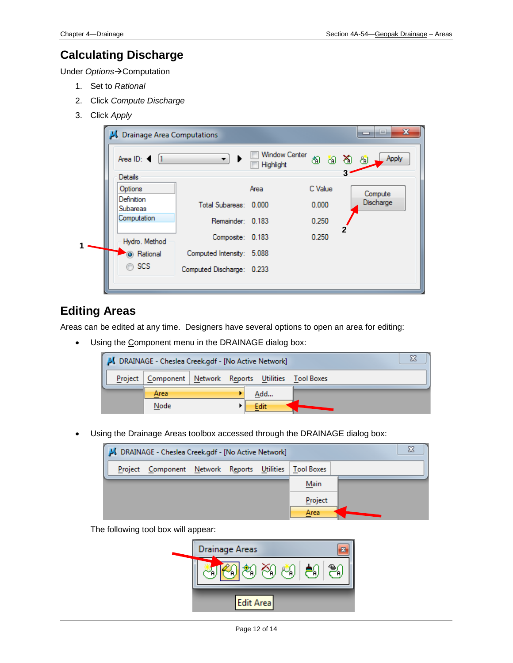## **Calculating Discharge**

Under Options->Computation

- 1. Set to *Rational*
- 2. Click *Compute Discharge*
- 3. Click *Apply*

|  | Drainage Area Computations                 | x<br>i=                   |                                   |         |                  |
|--|--------------------------------------------|---------------------------|-----------------------------------|---------|------------------|
|  | Area ID: $\blacktriangleleft$ 1            | ▼.                        | <b>Window Center</b><br>Highlight |         | 8888.<br>Apply   |
|  | <b>Details</b>                             |                           |                                   |         |                  |
|  | Options                                    |                           | Area                              | C Value | Compute          |
|  | Definition<br>Subareas                     | Total Subareas: 0.000     |                                   | 0.000   | <b>Discharge</b> |
|  | Computation<br>Hydro. Method<br>a Rational | Remainder: 0.183          |                                   | 0.250   | 2                |
|  |                                            | Composite: 0.183          |                                   | 0.250   |                  |
|  |                                            | Computed Intensity: 5.088 |                                   |         |                  |
|  | $\circ$ SCS                                | Computed Discharge: 0.233 |                                   |         |                  |
|  |                                            |                           |                                   |         |                  |

### **Editing Areas**

Areas can be edited at any time. Designers have several options to open an area for editing:

• Using the Component menu in the DRAINAGE dialog box:

| ΣΞ<br>DRAINAGE - Cheslea Creek.gdf - [No Active Network] |                                     |  |  |  |      |                   |  |
|----------------------------------------------------------|-------------------------------------|--|--|--|------|-------------------|--|
| Project                                                  | Component Network Reports Utilities |  |  |  |      | <b>Tool Boxes</b> |  |
|                                                          | Area                                |  |  |  | Add  |                   |  |
|                                                          | Node                                |  |  |  | Edit |                   |  |

• Using the Drainage Areas toolbox accessed through the DRAINAGE dialog box:

| Σ<br>J DRAINAGE - Cheslea Creek.gdf - [No Active Network] |                                     |  |                   |  |         |  |  |  |
|-----------------------------------------------------------|-------------------------------------|--|-------------------|--|---------|--|--|--|
| Project                                                   | Component Network Reports Utilities |  | <b>Tool Boxes</b> |  |         |  |  |  |
|                                                           |                                     |  |                   |  | Main    |  |  |  |
|                                                           |                                     |  |                   |  | Project |  |  |  |
|                                                           |                                     |  |                   |  | Area    |  |  |  |

The following tool box will appear:

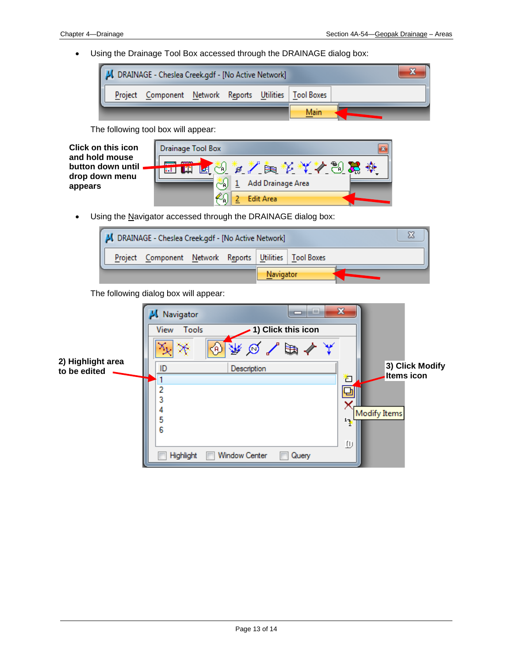• Using the Drainage Tool Box accessed through the DRAINAGE dialog box:



The following tool box will appear:

| <b>Click on this icon</b>           | Drainage Tool Box<br>器                                             |  |  |  |  |  |  |
|-------------------------------------|--------------------------------------------------------------------|--|--|--|--|--|--|
| and hold mouse<br>button down until | <b>CONSULTANT</b><br><b>AXPAKASY</b><br>শু≯<br>~ค.<br>$\mathbf{d}$ |  |  |  |  |  |  |
| drop down menu<br>appears           | Add Drainage Area                                                  |  |  |  |  |  |  |
|                                     | <b>Edit Area</b>                                                   |  |  |  |  |  |  |

• Using the Navigator accessed through the DRAINAGE dialog box:



The following dialog box will appear:

|                                   | Navigator |                     |                      | ┑                  | نصند | $\mathbf{x}$ |                                      |
|-----------------------------------|-----------|---------------------|----------------------|--------------------|------|--------------|--------------------------------------|
|                                   | View      | Tools               |                      | 1) Click this icon |      |              |                                      |
|                                   |           | $\langle A \rangle$ | ₩∅∕                  | ' ⊫a ∢             |      |              |                                      |
| 2) Highlight area<br>to be edited | ID        |                     | Description          |                    |      |              | 3) Click Modify<br><b>Items icon</b> |
|                                   | י         |                     |                      |                    |      | 'n           |                                      |
|                                   | 3         |                     |                      |                    |      |              |                                      |
|                                   |           |                     |                      |                    |      |              | <b>Modify Items</b>                  |
|                                   | 5<br>6    |                     |                      |                    |      | $\mathbf{1}$ |                                      |
|                                   |           |                     |                      |                    |      | ѡ            |                                      |
|                                   |           | Highlight           | <b>Window Center</b> | Query              |      |              |                                      |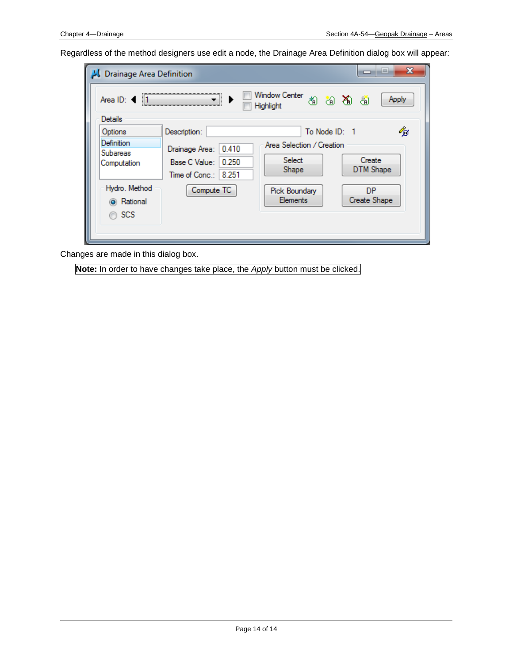Regardless of the method designers use edit a node, the Drainage Area Definition dialog box will appear:

| Drainage Area Definition                         |                                                                   |                                                               | x<br>--<br>▭              |
|--------------------------------------------------|-------------------------------------------------------------------|---------------------------------------------------------------|---------------------------|
| $\parallel$ 1<br>Area ID:                        |                                                                   | Window Center<br>Highlight                                    | もちある<br>Apply             |
| Details                                          |                                                                   |                                                               |                           |
| Options<br>Definition<br>Subareas<br>Computation | Description:<br>0.410<br>Drainage Area:<br>0.250<br>Base C Value: | To Node ID: 1<br>Area Selection / Creation<br>Select<br>Shape | 43<br>Create<br>DTM Shape |
| Hydro. Method<br>a Rational<br><b>SCS</b>        | Time of Conc.: 8.251<br>Compute TC                                | Pick Boundary<br>Elements                                     | DP.<br>Create Shape       |

Changes are made in this dialog box.

**Note:** In order to have changes take place, the *Apply* button must be clicked.